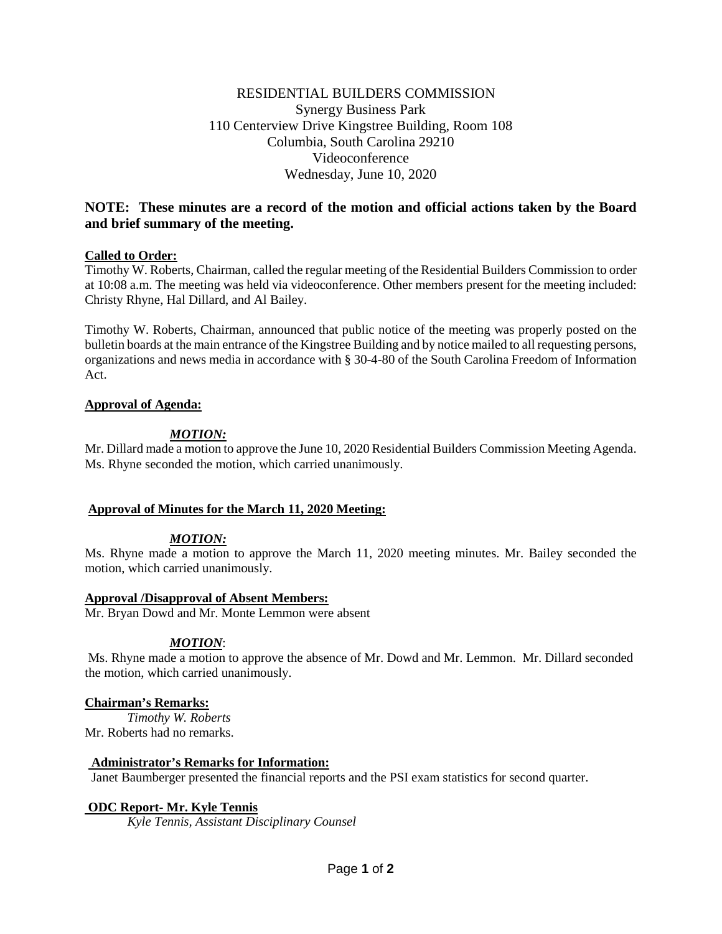# RESIDENTIAL BUILDERS COMMISSION Synergy Business Park 110 Centerview Drive Kingstree Building, Room 108 Columbia, South Carolina 29210 Videoconference Wednesday, June 10, 2020

# **NOTE: These minutes are a record of the motion and official actions taken by the Board and brief summary of the meeting.**

## **Called to Order:**

Timothy W. Roberts, Chairman, called the regular meeting of the Residential Builders Commission to order at 10:08 a.m. The meeting was held via videoconference. Other members present for the meeting included: Christy Rhyne, Hal Dillard, and Al Bailey.

Timothy W. Roberts, Chairman, announced that public notice of the meeting was properly posted on the bulletin boards at the main entrance of the Kingstree Building and by notice mailed to all requesting persons, organizations and news media in accordance with § 30-4-80 of the South Carolina Freedom of Information Act.

## **Approval of Agenda:**

# *MOTION:*

Mr. Dillard made a motion to approve the June 10, 2020 Residential Builders Commission Meeting Agenda. Ms. Rhyne seconded the motion, which carried unanimously.

## **Approval of Minutes for the March 11, 2020 Meeting:**

## *MOTION:*

Ms. Rhyne made a motion to approve the March 11, 2020 meeting minutes. Mr. Bailey seconded the motion, which carried unanimously.

## **Approval /Disapproval of Absent Members:**

Mr. Bryan Dowd and Mr. Monte Lemmon were absent

## *MOTION*:

Ms. Rhyne made a motion to approve the absence of Mr. Dowd and Mr. Lemmon. Mr. Dillard seconded the motion, which carried unanimously.

## **Chairman's Remarks:**

*Timothy W. Roberts* Mr. Roberts had no remarks.

## **Administrator's Remarks for Information:**

Janet Baumberger presented the financial reports and the PSI exam statistics for second quarter.

## **ODC Report- Mr. Kyle Tennis**

*Kyle Tennis, Assistant Disciplinary Counsel*